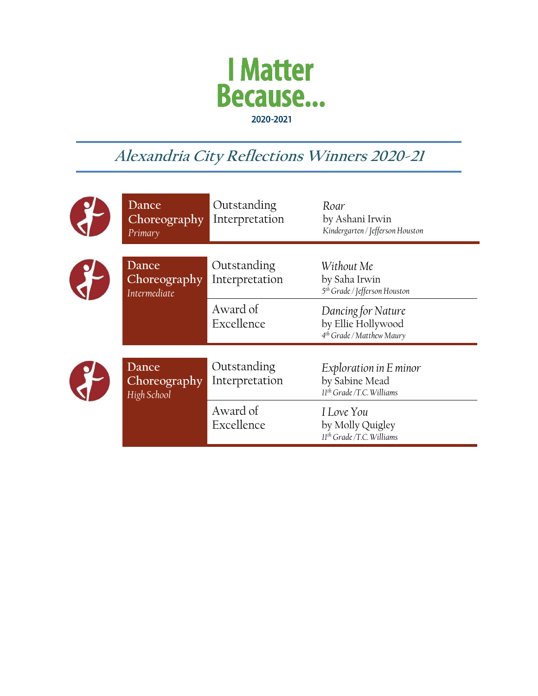

## **Alexandria City Reflections Winners 2020-21**

| Dance<br>Choreography<br>Primary      | Outstanding<br>Interpretation | Roar<br>by Ashani Irwin<br>Kindergarten / Jefferson Houston                       |
|---------------------------------------|-------------------------------|-----------------------------------------------------------------------------------|
| Dance<br>Choreography<br>Intermediate | Outstanding<br>Interpretation | Without Me<br>by Saha Irwin<br>5 <sup>th</sup> Grade / Jefferson Houston          |
|                                       | Award of<br>Excellence        | Dancing for Nature<br>by Ellie Hollywood<br>4 <sup>th</sup> Grade / Matthew Maury |
| Dance<br>Choreography<br>High School  | Outstanding<br>Interpretation | Exploration in E minor<br>by Sabine Mead<br>$11th$ Grade /T.C. Williams           |
|                                       | Award of<br>Excellence        | I Love You<br>by Molly Quigley<br>$11th$ Grade /T.C. Williams                     |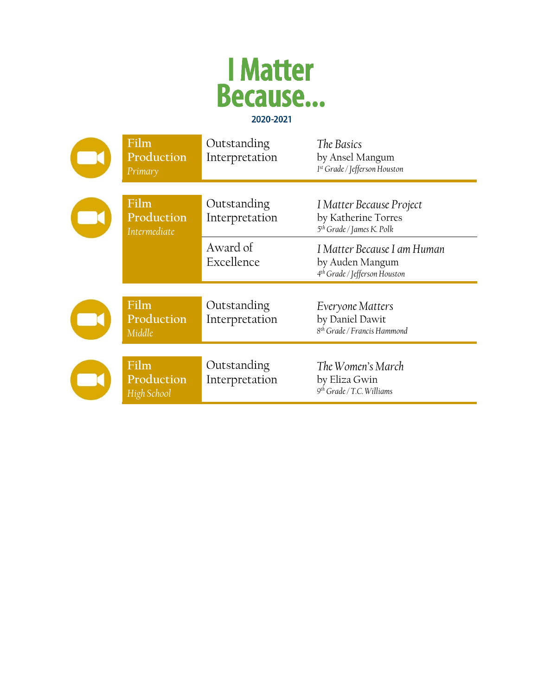

| Film<br>Production<br>Primary      | Outstanding<br>Interpretation | The Basics<br>by Ansel Mangum<br>1st Grade / Jefferson Houston                              |
|------------------------------------|-------------------------------|---------------------------------------------------------------------------------------------|
| Film<br>Production<br>Intermediate | Outstanding<br>Interpretation | I Matter Because Project<br>by Katherine Torres<br>5 <sup>th</sup> Grade / James K. Polk    |
|                                    | Award of<br>Excellence        | I Matter Because I am Human<br>by Auden Mangum<br>4 <sup>th</sup> Grade / Jefferson Houston |
| Film<br>Production<br>Middle       | Outstanding<br>Interpretation | Everyone Matters<br>by Daniel Dawit<br>8 <sup>th</sup> Grade / Francis Hammond              |
| Film<br>Production<br>High School  | Outstanding<br>Interpretation | The Women's March<br>by Eliza Gwin<br>$9th$ Grade / T.C. Williams                           |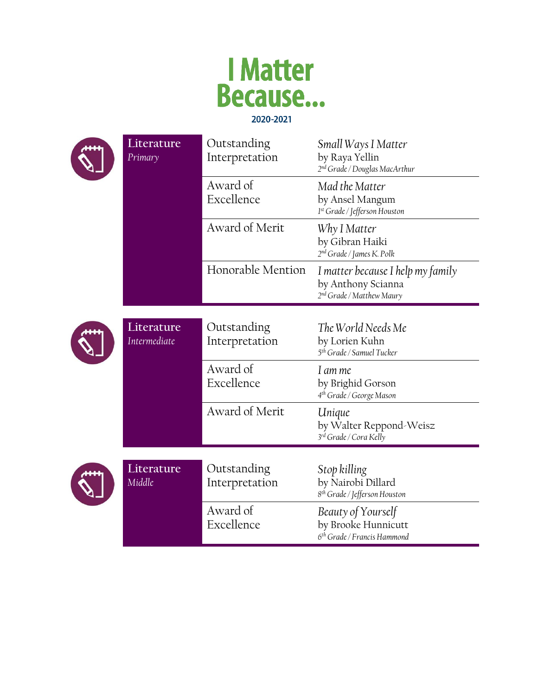



| Literature<br>Primary      | Outstanding<br>Interpretation | Small Ways I Matter<br>by Raya Yellin<br>2 <sup>nd</sup> Grade / Douglas MacArthur               |
|----------------------------|-------------------------------|--------------------------------------------------------------------------------------------------|
|                            | Award of<br>Excellence        | Mad the Matter<br>by Ansel Mangum<br>1st Grade / Jefferson Houston                               |
|                            | Award of Merit                | Why I Matter<br>by Gibran Haiki<br>2 <sup>nd</sup> Grade / James K. Polk                         |
|                            | Honorable Mention             | I matter because I help my family<br>by Anthony Scianna<br>2 <sup>nd</sup> Grade / Matthew Maury |
| Literature<br>Intermediate | Outstanding<br>Interpretation | The World Needs Me<br>by Lorien Kuhn<br>5 <sup>th</sup> Grade / Samuel Tucker                    |
|                            | Award of<br>Excellence        | I am me<br>by Brighid Gorson<br>4 <sup>th</sup> Grade / George Mason                             |
|                            | Award of Merit                | Unique<br>by Walter Reppond-Weisz<br>3rd Grade / Cora Kelly                                      |
| Literature<br>Middle       | Outstanding<br>Interpretation | Stop killing<br>by Nairobi Dillard<br>8 <sup>th</sup> Grade / Jefferson Houston                  |
|                            | Award of<br>Excellence        | Beauty of Yourself<br>by Brooke Hunnicutt<br>6 <sup>th</sup> Grade / Francis Hammond             |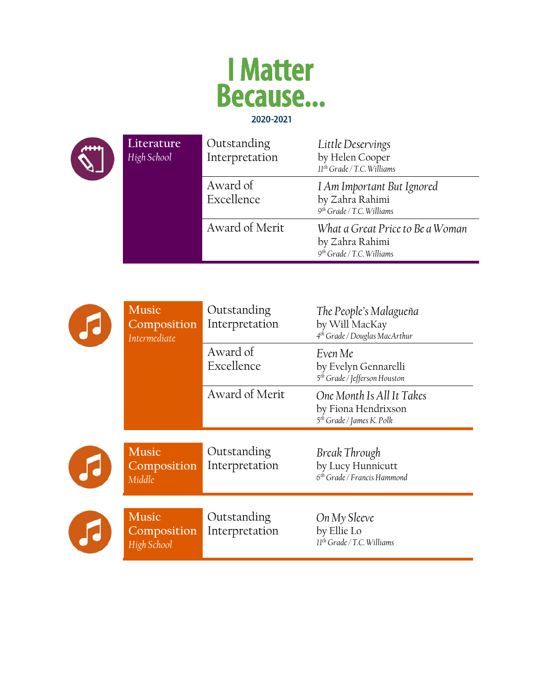



| Literature<br>High School | Outstanding<br>Interpretation | Little Deservings<br>by Helen Cooper<br>11 <sup>th</sup> Grade / T.C. Williams               |
|---------------------------|-------------------------------|----------------------------------------------------------------------------------------------|
|                           | Award of<br>Excellence        | I Am Important But Ignored<br>by Zahra Rahimi<br>9 <sup>th</sup> Grade / T.C. Williams       |
|                           | Award of Merit                | What a Great Price to Be a Woman<br>by Zahra Rahimi<br>9 <sup>th</sup> Grade / T.C. Williams |

|   | <b>Music</b><br>Composition<br>Intermediate | Outstanding<br>Interpretation | The People's Malagueña<br>by Will MacKay<br>4 <sup>th</sup> Grade / Douglas MacArthur     |
|---|---------------------------------------------|-------------------------------|-------------------------------------------------------------------------------------------|
|   |                                             | Award of<br>Excellence        | Even Me<br>by Evelyn Gennarelli<br>5 <sup>th</sup> Grade / Jefferson Houston              |
|   |                                             | Award of Merit                | One Month Is All It Takes<br>by Fiona Hendrixson<br>5 <sup>th</sup> Grade / James K. Polk |
| T | <b>Music</b><br>Composition<br>Middle       | Outstanding<br>Interpretation | Break Through<br>by Lucy Hunnicutt<br>6 <sup>th</sup> Grade / Francis Hammond             |
|   | <b>Music</b><br>Composition<br>High School  | Outstanding<br>Interpretation | On My Sleeve<br>by Ellie Lo<br>$11th$ Grade / T.C. Williams                               |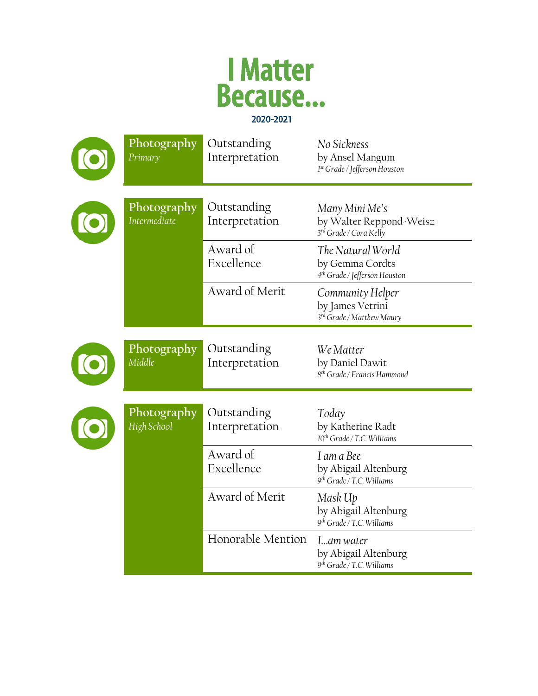

| Photography<br>Primary      | Outstanding<br>Interpretation | No Sickness<br>by Ansel Mangum<br>1st Grade / Jefferson Houston                   |
|-----------------------------|-------------------------------|-----------------------------------------------------------------------------------|
| Photography<br>Intermediate | Outstanding<br>Interpretation | Many Mini Me's<br>by Walter Reppond-Weisz<br>3rd Grade / Cora Kelly               |
|                             | Award of<br>Excellence        | The Natural World<br>by Gemma Cordts<br>4 <sup>th</sup> Grade / Jefferson Houston |
|                             | Award of Merit                | Community Helper<br>by James Vetrini<br>3rd Grade / Matthew Maury                 |
| Photography<br>Middle       | Outstanding<br>Interpretation | We Matter<br>by Daniel Dawit<br>8 <sup>th</sup> Grade / Francis Hammond           |
| Photography<br>High School  | Outstanding<br>Interpretation | Today<br>by Katherine Radt<br>$10^{th}$ Grade / T.C. Williams                     |
|                             | Award of<br>Excellence        | I am a Bee<br>by Abigail Altenburg<br>$9th$ Grade / T.C. Williams                 |
|                             | Award of Merit                | Mask Up<br>by Abigail Altenburg<br>9 <sup>th</sup> Grade / T.C. Williams          |
|                             | Honorable Mention             | Iam water<br>by Abigail Altenburg<br>$9th$ Grade / T.C. Williams                  |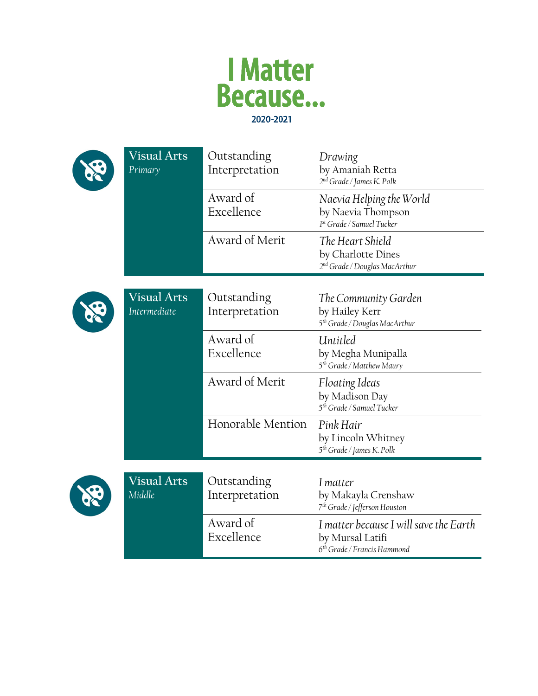



| Visual Arts<br>Primary             | Outstanding<br>Interpretation | Drawing<br>by Amaniah Retta<br>2 <sup>nd</sup> Grade / James K. Polk                                  |
|------------------------------------|-------------------------------|-------------------------------------------------------------------------------------------------------|
|                                    | Award of<br>Excellence        | Naevia Helping the World<br>by Naevia Thompson<br>1st Grade / Samuel Tucker                           |
|                                    | Award of Merit                | The Heart Shield<br>by Charlotte Dines<br>2 <sup>nd</sup> Grade / Douglas MacArthur                   |
| <b>Visual Arts</b><br>Intermediate | Outstanding<br>Interpretation | The Community Garden<br>by Hailey Kerr<br>5 <sup>th</sup> Grade / Douglas MacArthur                   |
|                                    | Award of<br>Excellence        | Untitled<br>by Megha Munipalla<br>5 <sup>th</sup> Grade / Matthew Maury                               |
|                                    | Award of Merit                | Floating Ideas<br>by Madison Day<br>5 <sup>th</sup> Grade / Samuel Tucker                             |
|                                    | Honorable Mention             | Pink Hair<br>by Lincoln Whitney<br>5 <sup>th</sup> Grade / James K. Polk                              |
| <b>Visual Arts</b><br>Middle       | Outstanding<br>Interpretation | I matter<br>by Makayla Crenshaw<br>7 <sup>th</sup> Grade / Jefferson Houston                          |
|                                    | Award of<br>Excellence        | I matter because I will save the Earth<br>by Mursal Latifi<br>6 <sup>th</sup> Grade / Francis Hammond |